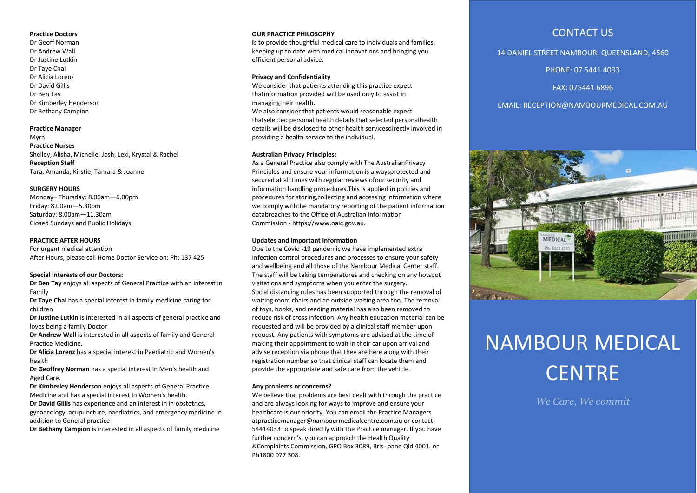#### **Practice Doctors**

Dr Geoff Norman Dr Andrew Wall Dr Justine Lutkin Dr Taye Chai Dr Alicia Lorenz Dr David Gillis Dr Ben Tay Dr Kimberley Henderson Dr Bethany Campion

#### **Practice Manager**

Myra **Practice Nurses**  Shelley, Alisha, Michelle, Josh, Lexi, Krystal & Rachel **Reception Staff** Tara, Amanda, Kirstie, Tamara & Joanne

#### **SURGERY HOURS**

Monday– Thursday: 8.00am—6.00pm Friday: 8.00am—5.30pm Saturday: 8.00am—11.30am Closed Sundays and Public Holidays

## **PRACTICE AFTER HOURS**

For urgent medical attention After Hours, please call Home Doctor Service on: Ph: 137 425

## **Special Interests of our Doctors:**

**Dr Ben Tay** enjoys all aspects of General Practice with an interest in Family

**Dr Taye Chai** has a special interest in family medicine caring for children

**Dr Justine Lutkin** is interested in all aspects of general practice and loves being a family Doctor

**Dr Andrew Wall** is interested in all aspects of family and General Practice Medicine.

**Dr Alicia Lorenz** has a special interest in Paediatric and Women's health

**Dr Geoffrey Norman** has a special interest in Men's health and Aged Care.

**Dr Kimberley Henderson** enjoys all aspects of General Practice Medicine and has a special interest in Women's health.

**Dr David Gillis** has experience and an interest in in obstetrics, gynaecology, acupuncture, paediatrics, and emergency medicine in addition to General practice

**Dr Bethany Campion** is interested in all aspects of family medicine

### **OUR PRACTICE PHILOSOPHY**

**I**s to provide thoughtful medical care to individuals and families, keeping up to date with medical innovations and bringing you efficient personal advice.

# **Privacy and Confidentiality**

We consider that patients attending this practice expect thatinformation provided will be used only to assist in managingtheir health.

We also consider that patients would reasonable expect thatselected personal health details that selected personalhealth details will be disclosed to other health servicesdirectly involved in providing a health service to the individual.

#### **Australian Privacy Principles:**

As a General Practice also comply with The AustralianPrivacy Principles and ensure your information is alwaysprotected and secured at all times with regular reviews ofour security and information handling procedures.This is applied in policies and procedures for storing,collecting and accessing information where we comply withthe mandatory reporting of the patient information databreaches to the Office of Australian Information Commission - https://www.oaic.gov.au.

# **Updates and Important Information**

Due to the Covid -19 pandemic we have implemented extra Infection control procedures and processes to ensure your safety and wellbeing and all those of the Nambour Medical Center staff. The staff will be taking temperatures and checking on any hotspot visitations and symptoms when you enter the surgery. Social distancing rules has been supported through the removal of waiting room chairs and an outside waiting area too. The removal of toys, books, and reading material has also been removed to reduce risk of cross infection. Any health education material can be requested and will be provided by a clinical staff member upon request. Any patients with symptoms are advised at the time of making their appointment to wait in their car upon arrival and advise reception via phone that they are here along with their registration number so that clinical staff can locate them and provide the appropriate and safe care from the vehicle.

#### **Any problems or concerns?**

We believe that problems are best dealt with through the practice and are always looking for ways to improve and ensure your healthcare is our priority. You can email the Practice Managers atpracticemanager@nambourmedicalcentre.com.au or contact 54414033 to speak directly with the Practice manager. If you have further concern's, you can approach the Health Quality &Complaints Commission, GPO Box 3089, Bris- bane Qld 4001. or Ph1800 077 308.

# CONTACT US

14 DANIEL STREET NAMBOUR, QUEENSLAND, 4560

PHONE: 07 5441 4033

FAX: 075441 6896

# EMAIL: RECEPTION@NAMBOURMEDICAL.COM.AU



# NAMBOUR MEDICAL **CENTRE**

*We Care, We commit*